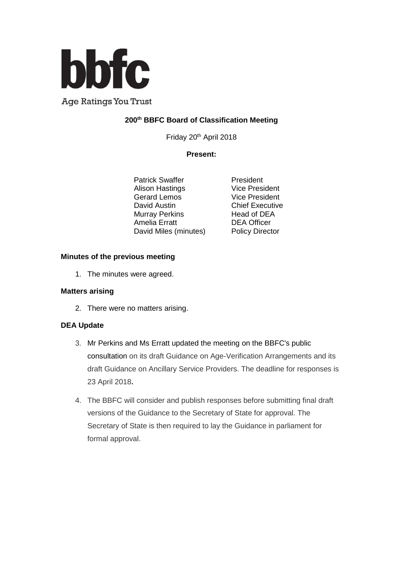

**Age Ratings You Trust** 

# **200th BBFC Board of Classification Meeting**

Friday 20th April 2018

### **Present:**

Patrick Swaffer<br>
Alison Hastings<br>
Vice President Alison Hastings Vice President<br>
Gerard Lemos Vice President Gerard Lemos David Austin **Chief Executive** Murray Perkins Head of DEA Amelia Erratt DEA Officer David Miles (minutes) Policy Director

#### **Minutes of the previous meeting**

1. The minutes were agreed.

#### **Matters arising**

2. There were no matters arising.

#### **DEA Update**

- 3. Mr Perkins and Ms Erratt updated the meeting on the BBFC's public consultation on its draft Guidance on Age-Verification Arrangements and its draft Guidance on Ancillary Service Providers. The deadline for responses is 23 April 2018**.**
- 4. The BBFC will consider and publish responses before submitting final draft versions of the Guidance to the Secretary of State for approval. The Secretary of State is then required to lay the Guidance in parliament for formal approval.